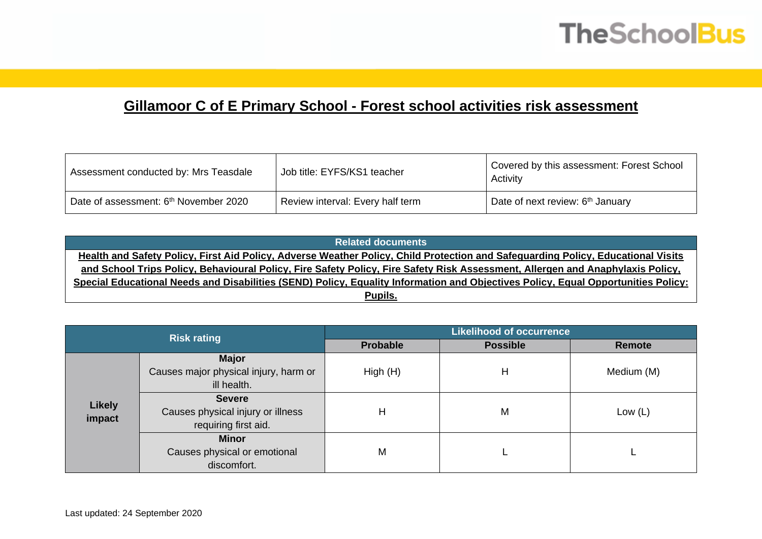## **TheSchoolBus**

## **Gillamoor C of E Primary School - Forest school activities risk assessment**

| Assessment conducted by: Mrs Teasdale             | Job title: EYFS/KS1 teacher      | Covered by this assessment: Forest School<br>Activity |
|---------------------------------------------------|----------------------------------|-------------------------------------------------------|
| Date of assessment: 6 <sup>th</sup> November 2020 | Review interval: Every half term | Date of next review: 6 <sup>th</sup> January          |

| <b>Related documents</b>                                                                                                          |
|-----------------------------------------------------------------------------------------------------------------------------------|
| Health and Safety Policy, First Aid Policy, Adverse Weather Policy, Child Protection and Safeguarding Policy, Educational Visits  |
| and School Trips Policy, Behavioural Policy, Fire Safety Policy, Fire Safety Risk Assessment, Allergen and Anaphylaxis Policy,    |
| Special Educational Needs and Disabilities (SEND) Policy, Equality Information and Objectives Policy, Equal Opportunities Policy: |
| Pupils.                                                                                                                           |

|               | <b>Risk rating</b>                    | <b>Likelihood of occurrence</b> |                 |               |  |  |  |
|---------------|---------------------------------------|---------------------------------|-----------------|---------------|--|--|--|
|               |                                       | <b>Probable</b>                 | <b>Possible</b> | <b>Remote</b> |  |  |  |
|               | <b>Major</b>                          |                                 |                 |               |  |  |  |
|               | Causes major physical injury, harm or | High(H)                         | н               | Medium (M)    |  |  |  |
|               | ill health.                           |                                 |                 |               |  |  |  |
|               | <b>Severe</b>                         |                                 |                 |               |  |  |  |
| <b>Likely</b> | Causes physical injury or illness     | H                               | M               | Low $(L)$     |  |  |  |
| impact        | requiring first aid.                  |                                 |                 |               |  |  |  |
|               | <b>Minor</b>                          |                                 |                 |               |  |  |  |
|               | Causes physical or emotional          | M                               |                 |               |  |  |  |
|               | discomfort.                           |                                 |                 |               |  |  |  |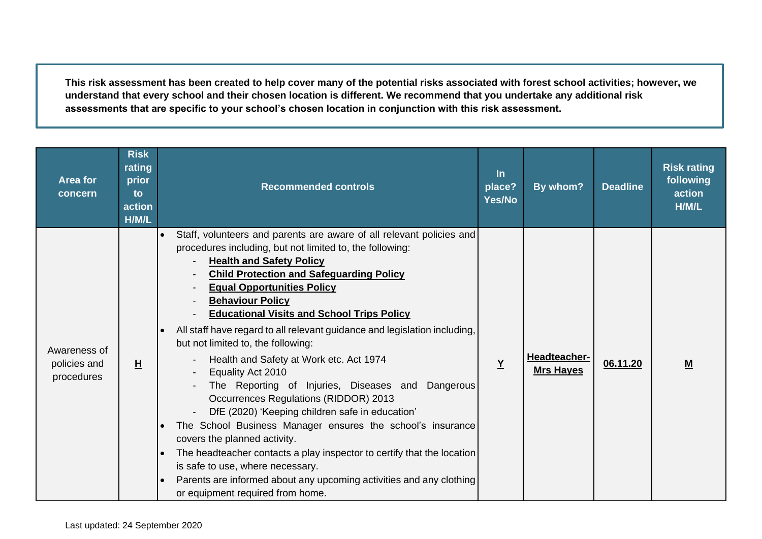**This risk assessment has been created to help cover many of the potential risks associated with forest school activities; however, we understand that every school and their chosen location is different. We recommend that you undertake any additional risk assessments that are specific to your school's chosen location in conjunction with this risk assessment.**

| <b>Area for</b><br>concern                 | <b>Risk</b><br>rating<br>prior<br>to<br>action<br>H/M/L | <b>Recommended controls</b>                                                                                                                                                                                                                                                                                                                                                                                                                                                                                                                                                                                                                                                                                                                                                                                                                                                                                                                                                                            | $\ln$<br>place?<br><b>Yes/No</b> | By whom?                         | <b>Deadline</b> | <b>Risk rating</b><br>following<br>action<br>H/M/L |
|--------------------------------------------|---------------------------------------------------------|--------------------------------------------------------------------------------------------------------------------------------------------------------------------------------------------------------------------------------------------------------------------------------------------------------------------------------------------------------------------------------------------------------------------------------------------------------------------------------------------------------------------------------------------------------------------------------------------------------------------------------------------------------------------------------------------------------------------------------------------------------------------------------------------------------------------------------------------------------------------------------------------------------------------------------------------------------------------------------------------------------|----------------------------------|----------------------------------|-----------------|----------------------------------------------------|
| Awareness of<br>policies and<br>procedures | H                                                       | Staff, volunteers and parents are aware of all relevant policies and<br>procedures including, but not limited to, the following:<br><b>Health and Safety Policy</b><br><b>Child Protection and Safeguarding Policy</b><br><b>Equal Opportunities Policy</b><br><b>Behaviour Policy</b><br><b>Educational Visits and School Trips Policy</b><br>All staff have regard to all relevant guidance and legislation including,<br>but not limited to, the following:<br>Health and Safety at Work etc. Act 1974<br>Equality Act 2010<br>The Reporting of Injuries, Diseases and Dangerous<br>Occurrences Regulations (RIDDOR) 2013<br>DfE (2020) 'Keeping children safe in education'<br>The School Business Manager ensures the school's insurance<br>covers the planned activity.<br>The headteacher contacts a play inspector to certify that the location<br>is safe to use, where necessary.<br>Parents are informed about any upcoming activities and any clothing<br>or equipment required from home. | $\underline{Y}$                  | Headteacher-<br><b>Mrs Hayes</b> | 06.11.20        | M                                                  |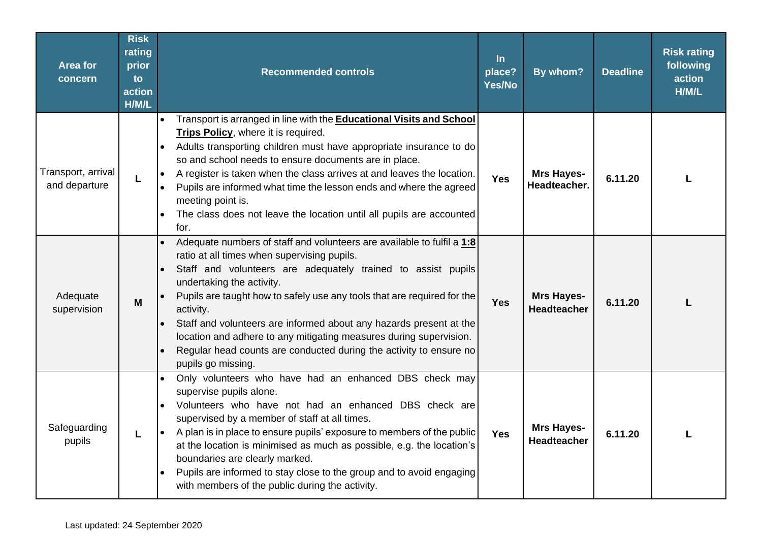| <b>Area for</b><br>concern          | <b>Risk</b><br>rating<br>prior<br>to<br>action<br>H/M/L | <b>Recommended controls</b>                                                                                                                                                                                                                                                                                                                                                                                                                                                                                                                                                  | $\ln$<br>place?<br>Yes/No | By whom?                                 | <b>Deadline</b> | <b>Risk rating</b><br>following<br>action<br>H/M/L |
|-------------------------------------|---------------------------------------------------------|------------------------------------------------------------------------------------------------------------------------------------------------------------------------------------------------------------------------------------------------------------------------------------------------------------------------------------------------------------------------------------------------------------------------------------------------------------------------------------------------------------------------------------------------------------------------------|---------------------------|------------------------------------------|-----------------|----------------------------------------------------|
| Transport, arrival<br>and departure | L                                                       | Transport is arranged in line with the <b>Educational Visits and School</b><br>Trips Policy, where it is required.<br>Adults transporting children must have appropriate insurance to do<br>$\bullet$<br>so and school needs to ensure documents are in place.<br>A register is taken when the class arrives at and leaves the location.<br>Pupils are informed what time the lesson ends and where the agreed<br>meeting point is.<br>The class does not leave the location until all pupils are accounted<br>$\bullet$<br>for.                                             | <b>Yes</b>                | <b>Mrs Hayes-</b><br><b>Headteacher.</b> | 6.11.20         |                                                    |
| Adequate<br>supervision             | M                                                       | Adequate numbers of staff and volunteers are available to fulfil a 1:8<br>ratio at all times when supervising pupils.<br>Staff and volunteers are adequately trained to assist pupils<br>$\bullet$<br>undertaking the activity.<br>Pupils are taught how to safely use any tools that are required for the<br>activity.<br>Staff and volunteers are informed about any hazards present at the<br>location and adhere to any mitigating measures during supervision.<br>Regular head counts are conducted during the activity to ensure no<br>$\bullet$<br>pupils go missing. | <b>Yes</b>                | <b>Mrs Hayes-</b><br><b>Headteacher</b>  | 6.11.20         |                                                    |
| Safeguarding<br>pupils              | L                                                       | Only volunteers who have had an enhanced DBS check may<br>$\bullet$<br>supervise pupils alone.<br>Volunteers who have not had an enhanced DBS check are<br>supervised by a member of staff at all times.<br>A plan is in place to ensure pupils' exposure to members of the public<br>$\bullet$<br>at the location is minimised as much as possible, e.g. the location's<br>boundaries are clearly marked.<br>Pupils are informed to stay close to the group and to avoid engaging<br>with members of the public during the activity.                                        | <b>Yes</b>                | <b>Mrs Hayes-</b><br><b>Headteacher</b>  | 6.11.20         |                                                    |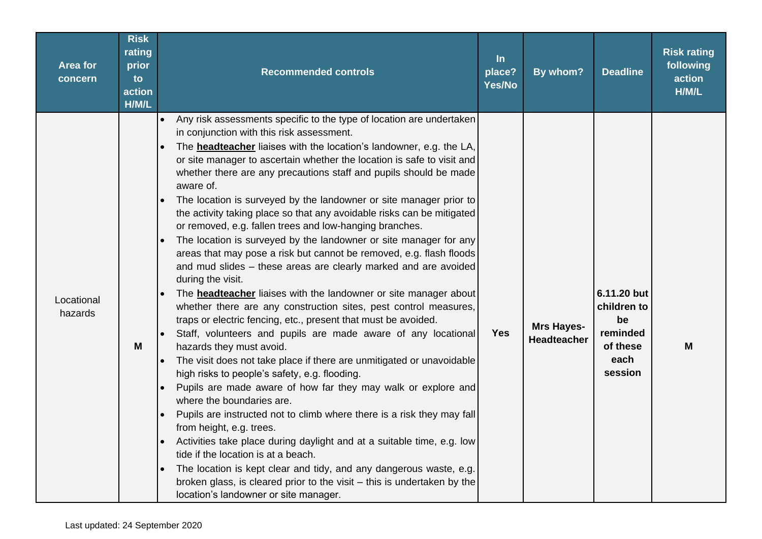| <b>Area for</b><br>concern | <b>Risk</b><br>rating<br>prior<br>to<br>action<br>H/M/L | <b>Recommended controls</b>                                                                                                                                                                                                                                                                                                                                                                                                                                                                                                                                                                                                                                                                                                                                                                                                                                                                                                                                                                                                                                                                                                                                                                                                                                                                                                                                                                                                                                                                                                                                                                                                                                                                                                                                                                                | $\ln$<br>place?<br>Yes/No | By whom?                                | <b>Deadline</b>                                                             | <b>Risk rating</b><br>following<br>action<br>H/M/L |
|----------------------------|---------------------------------------------------------|------------------------------------------------------------------------------------------------------------------------------------------------------------------------------------------------------------------------------------------------------------------------------------------------------------------------------------------------------------------------------------------------------------------------------------------------------------------------------------------------------------------------------------------------------------------------------------------------------------------------------------------------------------------------------------------------------------------------------------------------------------------------------------------------------------------------------------------------------------------------------------------------------------------------------------------------------------------------------------------------------------------------------------------------------------------------------------------------------------------------------------------------------------------------------------------------------------------------------------------------------------------------------------------------------------------------------------------------------------------------------------------------------------------------------------------------------------------------------------------------------------------------------------------------------------------------------------------------------------------------------------------------------------------------------------------------------------------------------------------------------------------------------------------------------------|---------------------------|-----------------------------------------|-----------------------------------------------------------------------------|----------------------------------------------------|
| Locational<br>hazards      | M                                                       | Any risk assessments specific to the type of location are undertaken<br>$\bullet$<br>in conjunction with this risk assessment.<br>The <b>headteacher</b> liaises with the location's landowner, e.g. the LA,<br>or site manager to ascertain whether the location is safe to visit and<br>whether there are any precautions staff and pupils should be made<br>aware of.<br>The location is surveyed by the landowner or site manager prior to<br>the activity taking place so that any avoidable risks can be mitigated<br>or removed, e.g. fallen trees and low-hanging branches.<br>The location is surveyed by the landowner or site manager for any<br>areas that may pose a risk but cannot be removed, e.g. flash floods<br>and mud slides - these areas are clearly marked and are avoided<br>during the visit.<br>The <b>headteacher</b> liaises with the landowner or site manager about<br>whether there are any construction sites, pest control measures,<br>traps or electric fencing, etc., present that must be avoided.<br>Staff, volunteers and pupils are made aware of any locational<br>hazards they must avoid.<br>The visit does not take place if there are unmitigated or unavoidable<br>$\bullet$<br>high risks to people's safety, e.g. flooding.<br>Pupils are made aware of how far they may walk or explore and<br>$\bullet$<br>where the boundaries are.<br>Pupils are instructed not to climb where there is a risk they may fall<br>from height, e.g. trees.<br>Activities take place during daylight and at a suitable time, e.g. low<br>tide if the location is at a beach.<br>The location is kept clear and tidy, and any dangerous waste, e.g.<br>broken glass, is cleared prior to the visit $-$ this is undertaken by the<br>location's landowner or site manager. | <b>Yes</b>                | <b>Mrs Hayes-</b><br><b>Headteacher</b> | 6.11.20 but<br>children to<br>be<br>reminded<br>of these<br>each<br>session | M                                                  |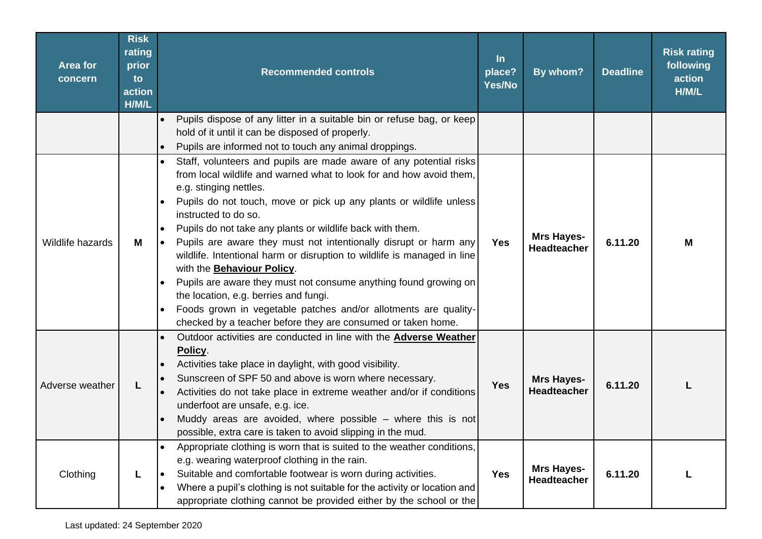| <b>Area for</b><br>concern | <b>Risk</b><br>rating<br>prior<br>to<br>action<br>H/M/L | <b>Recommended controls</b>                                                                                                                                                                                                                                                                                                                                                                                                                                                                                                                                                                                                                                                                                                                                                                                                        | $\ln$<br>place?<br>Yes/No | By whom?                                | <b>Deadline</b> | <b>Risk rating</b><br>following<br>action<br>H/M/L |
|----------------------------|---------------------------------------------------------|------------------------------------------------------------------------------------------------------------------------------------------------------------------------------------------------------------------------------------------------------------------------------------------------------------------------------------------------------------------------------------------------------------------------------------------------------------------------------------------------------------------------------------------------------------------------------------------------------------------------------------------------------------------------------------------------------------------------------------------------------------------------------------------------------------------------------------|---------------------------|-----------------------------------------|-----------------|----------------------------------------------------|
|                            |                                                         | Pupils dispose of any litter in a suitable bin or refuse bag, or keep<br>$\bullet$<br>hold of it until it can be disposed of properly.<br>Pupils are informed not to touch any animal droppings.<br>$\bullet$                                                                                                                                                                                                                                                                                                                                                                                                                                                                                                                                                                                                                      |                           |                                         |                 |                                                    |
| Wildlife hazards           | M                                                       | Staff, volunteers and pupils are made aware of any potential risks<br>$\bullet$<br>from local wildlife and warned what to look for and how avoid them,<br>e.g. stinging nettles.<br>Pupils do not touch, move or pick up any plants or wildlife unless<br>$\bullet$<br>instructed to do so.<br>Pupils do not take any plants or wildlife back with them.<br>$\bullet$<br>Pupils are aware they must not intentionally disrupt or harm any<br>I۰<br>wildlife. Intentional harm or disruption to wildlife is managed in line<br>with the Behaviour Policy.<br>Pupils are aware they must not consume anything found growing on<br>$\bullet$<br>the location, e.g. berries and fungi.<br>Foods grown in vegetable patches and/or allotments are quality-<br>$\bullet$<br>checked by a teacher before they are consumed or taken home. | <b>Yes</b>                | <b>Mrs Hayes-</b><br><b>Headteacher</b> | 6.11.20         | M                                                  |
| Adverse weather            | L                                                       | Outdoor activities are conducted in line with the <b>Adverse Weather</b><br>Policy.<br>Activities take place in daylight, with good visibility.<br>$\bullet$<br>Sunscreen of SPF 50 and above is worn where necessary.<br>$\bullet$<br>Activities do not take place in extreme weather and/or if conditions<br>$\bullet$<br>underfoot are unsafe, e.g. ice.<br>Muddy areas are avoided, where possible - where this is not<br>possible, extra care is taken to avoid slipping in the mud.                                                                                                                                                                                                                                                                                                                                          | <b>Yes</b>                | <b>Mrs Hayes-</b><br><b>Headteacher</b> | 6.11.20         | L                                                  |
| Clothing                   |                                                         | Appropriate clothing is worn that is suited to the weather conditions,<br>$\bullet$<br>e.g. wearing waterproof clothing in the rain.<br>Suitable and comfortable footwear is worn during activities.<br>$\bullet$<br>Where a pupil's clothing is not suitable for the activity or location and<br>$\bullet$<br>appropriate clothing cannot be provided either by the school or the                                                                                                                                                                                                                                                                                                                                                                                                                                                 | <b>Yes</b>                | <b>Mrs Hayes-</b><br>Headteacher        | 6.11.20         | L                                                  |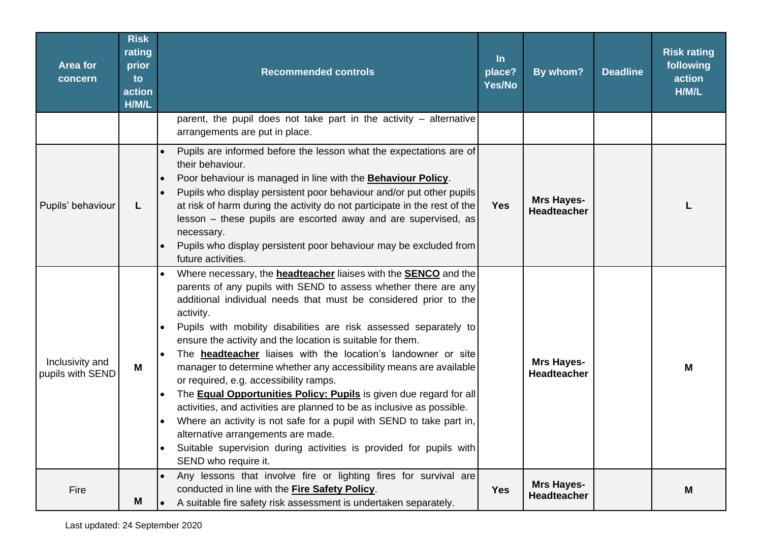| <b>Area for</b><br>concern          | <b>Risk</b><br>rating<br>prior<br>to<br>action<br>H/M/L | <b>Recommended controls</b>                                                                                                                                                                                                                                                                                                                                                                                                                                                                                                                                                                                                                                                                                                                                                                                                                                                                                                     | $\ln$<br>place?<br>Yes/No | By whom?                                | <b>Deadline</b> | <b>Risk rating</b><br>following<br>action<br>H/M/L |
|-------------------------------------|---------------------------------------------------------|---------------------------------------------------------------------------------------------------------------------------------------------------------------------------------------------------------------------------------------------------------------------------------------------------------------------------------------------------------------------------------------------------------------------------------------------------------------------------------------------------------------------------------------------------------------------------------------------------------------------------------------------------------------------------------------------------------------------------------------------------------------------------------------------------------------------------------------------------------------------------------------------------------------------------------|---------------------------|-----------------------------------------|-----------------|----------------------------------------------------|
|                                     |                                                         | parent, the pupil does not take part in the activity $-$ alternative<br>arrangements are put in place.                                                                                                                                                                                                                                                                                                                                                                                                                                                                                                                                                                                                                                                                                                                                                                                                                          |                           |                                         |                 |                                                    |
| Pupils' behaviour                   | L.                                                      | Pupils are informed before the lesson what the expectations are of<br>their behaviour.<br>Poor behaviour is managed in line with the <b>Behaviour Policy</b> .<br>Pupils who display persistent poor behaviour and/or put other pupils<br>at risk of harm during the activity do not participate in the rest of the<br>lesson - these pupils are escorted away and are supervised, as<br>necessary.<br>Pupils who display persistent poor behaviour may be excluded from<br>future activities.                                                                                                                                                                                                                                                                                                                                                                                                                                  | <b>Yes</b>                | <b>Mrs Hayes-</b><br><b>Headteacher</b> |                 |                                                    |
| Inclusivity and<br>pupils with SEND | M                                                       | Where necessary, the <b>headteacher</b> liaises with the <b>SENCO</b> and the<br>parents of any pupils with SEND to assess whether there are any<br>additional individual needs that must be considered prior to the<br>activity.<br>Pupils with mobility disabilities are risk assessed separately to<br>ensure the activity and the location is suitable for them.<br>The <b>headteacher</b> liaises with the location's landowner or site<br>manager to determine whether any accessibility means are available<br>or required, e.g. accessibility ramps.<br>The <b>Equal Opportunities Policy: Pupils</b> is given due regard for all<br>activities, and activities are planned to be as inclusive as possible.<br>Where an activity is not safe for a pupil with SEND to take part in,<br>alternative arrangements are made.<br>Suitable supervision during activities is provided for pupils with<br>SEND who require it. |                           | <b>Mrs Hayes-</b><br><b>Headteacher</b> |                 | M                                                  |
| Fire                                | M                                                       | Any lessons that involve fire or lighting fires for survival are<br>conducted in line with the Fire Safety Policy.<br>A suitable fire safety risk assessment is undertaken separately.                                                                                                                                                                                                                                                                                                                                                                                                                                                                                                                                                                                                                                                                                                                                          | <b>Yes</b>                | <b>Mrs Hayes-</b><br><b>Headteacher</b> |                 | M                                                  |